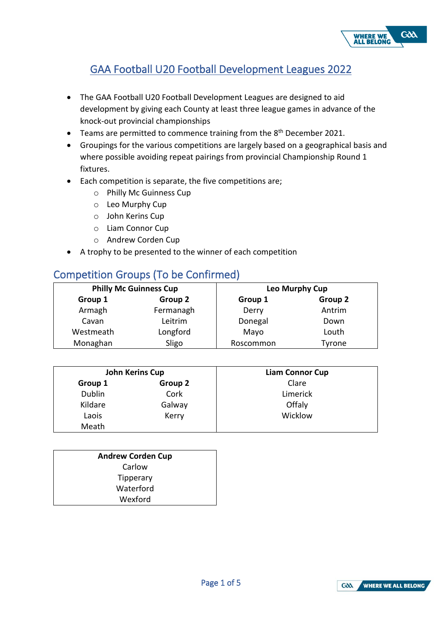

# GAA Football U20 Football Development Leagues 2022

- The GAA Football U20 Football Development Leagues are designed to aid development by giving each County at least three league games in advance of the knock-out provincial championships
- Teams are permitted to commence training from the 8<sup>th</sup> December 2021.
- Groupings for the various competitions are largely based on a geographical basis and where possible avoiding repeat pairings from provincial Championship Round 1 fixtures.
- Each competition is separate, the five competitions are;
	- o Philly Mc Guinness Cup
	- o Leo Murphy Cup
	- o John Kerins Cup
	- o Liam Connor Cup
	- o Andrew Corden Cup
- A trophy to be presented to the winner of each competition

# Competition Groups (To be Confirmed)

| <b>Philly Mc Guinness Cup</b> |           | Leo Murphy Cup |         |  |
|-------------------------------|-----------|----------------|---------|--|
| Group 1                       | Group 2   | Group 1        | Group 2 |  |
| Armagh                        | Fermanagh | Derry          | Antrim  |  |
| Cavan                         | Leitrim   | Donegal        | Down    |  |
| Westmeath                     | Longford  | Mayo           | Louth   |  |
| Monaghan                      | Sligo     | Roscommon      | Tyrone  |  |

| John Kerins Cup |         | <b>Liam Connor Cup</b> |  |
|-----------------|---------|------------------------|--|
| Group 1         | Group 2 | Clare                  |  |
| <b>Dublin</b>   | Cork    | Limerick               |  |
| Kildare         | Galway  | Offaly                 |  |
| Laois           | Kerry   | Wicklow                |  |
| Meath           |         |                        |  |

| <b>Andrew Corden Cup</b> |  |  |
|--------------------------|--|--|
| Carlow                   |  |  |
| Tipperary                |  |  |
| Waterford                |  |  |
| Wexford                  |  |  |

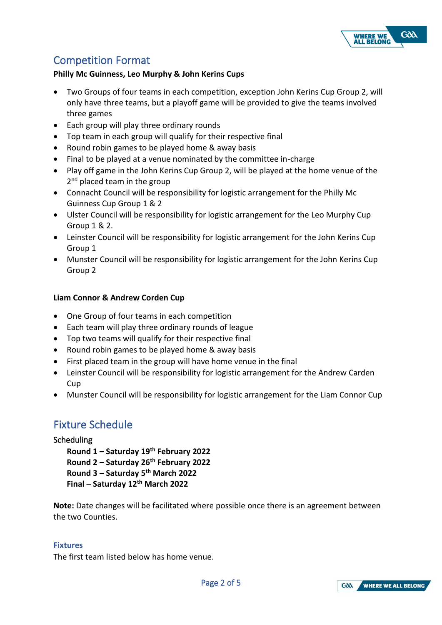

## Competition Format

## **Philly Mc Guinness, Leo Murphy & John Kerins Cups**

- Two Groups of four teams in each competition, exception John Kerins Cup Group 2, will only have three teams, but a playoff game will be provided to give the teams involved three games
- Each group will play three ordinary rounds
- Top team in each group will qualify for their respective final
- Round robin games to be played home & away basis
- Final to be played at a venue nominated by the committee in-charge
- Play off game in the John Kerins Cup Group 2, will be played at the home venue of the 2<sup>nd</sup> placed team in the group
- Connacht Council will be responsibility for logistic arrangement for the Philly Mc Guinness Cup Group 1 & 2
- Ulster Council will be responsibility for logistic arrangement for the Leo Murphy Cup Group 1 & 2.
- Leinster Council will be responsibility for logistic arrangement for the John Kerins Cup Group 1
- Munster Council will be responsibility for logistic arrangement for the John Kerins Cup Group 2

## **Liam Connor & Andrew Corden Cup**

- One Group of four teams in each competition
- Each team will play three ordinary rounds of league
- Top two teams will qualify for their respective final
- Round robin games to be played home & away basis
- First placed team in the group will have home venue in the final
- Leinster Council will be responsibility for logistic arrangement for the Andrew Carden **Cup**
- Munster Council will be responsibility for logistic arrangement for the Liam Connor Cup

## Fixture Schedule

#### Scheduling

**Round 1 – Saturday 19th February 2022 Round 2 – Saturday 26th February 2022 Round 3 – Saturday 5 th March 2022 Final – Saturday 12th March 2022**

**Note:** Date changes will be facilitated where possible once there is an agreement between the two Counties.

#### **Fixtures**

The first team listed below has home venue.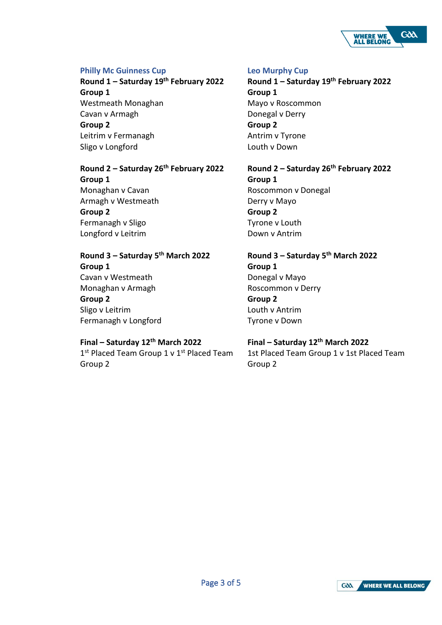

### **Philly Mc Guinness Cup**

**Round 1 – Saturday 19th February 2022 Group 1**  Westmeath Monaghan Cavan v Armagh **Group 2**  Leitrim v Fermanagh Sligo v Longford

# **Round 2 – Saturday 26th February 2022**

**Group 1**  Monaghan v Cavan Armagh v Westmeath **Group 2**  Fermanagh v Sligo Longford v Leitrim

## **Round 3 – Saturday 5 th March 2022 Group 1**  Cavan v Westmeath Monaghan v Armagh **Group 2**  Sligo v Leitrim Fermanagh v Longford

## **Final – Saturday 12th March 2022**

1<sup>st</sup> Placed Team Group 1 v 1<sup>st</sup> Placed Team Group 2

#### **Leo Murphy Cup**

**Round 1 – Saturday 19th February 2022 Group 1**  Mayo v Roscommon Donegal v Derry **Group 2**  Antrim v Tyrone Louth v Down

**Round 2 – Saturday 26th February 2022 Group 1**  Roscommon v Donegal Derry v Mayo

**Group 2**  Tyrone v Louth Down v Antrim

**Round 3 – Saturday 5 th March 2022 Group 1**  Donegal v Mayo Roscommon v Derry **Group 2**  Louth v Antrim Tyrone v Down

## **Final – Saturday 12th March 2022**

1st Placed Team Group 1 v 1st Placed Team Group 2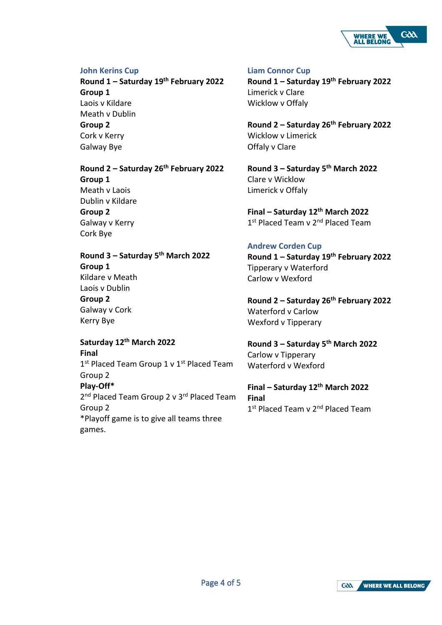

#### **John Kerins Cup**

**Round 1 – Saturday 19th February 2022 Group 1**  Laois v Kildare Meath v Dublin **Group 2**  Cork v Kerry Galway Bye

## **Round 2 – Saturday 26th February 2022 Group 1**  Meath v Laois Dublin v Kildare **Group 2**  Galway v Kerry Cork Bye

**Round 3 – Saturday 5 th March 2022 Group 1**  Kildare v Meath Laois v Dublin **Group 2**  Galway v Cork Kerry Bye

#### **Saturday 12th March 2022 Final**

1st Placed Team Group 1 v 1st Placed Team Group 2 **Play-Off\*** 2<sup>nd</sup> Placed Team Group 2 v 3<sup>rd</sup> Placed Team Group 2 \*Playoff game is to give all teams three games.

#### **Liam Connor Cup**

**Round 1 – Saturday 19th February 2022** Limerick v Clare Wicklow v Offaly

**Round 2 – Saturday 26th February 2022** Wicklow v Limerick Offaly v Clare

**Round 3 – Saturday 5 th March 2022** Clare v Wicklow Limerick v Offaly

**Final – Saturday 12th March 2022** 1st Placed Team v 2<sup>nd</sup> Placed Team

## **Andrew Corden Cup**

**Round 1 – Saturday 19th February 2022** Tipperary v Waterford Carlow v Wexford

**Round 2 – Saturday 26th February 2022** Waterford v Carlow Wexford v Tipperary

**Round 3 – Saturday 5 th March 2022** Carlow v Tipperary Waterford v Wexford

**Final – Saturday 12th March 2022 Final** 1st Placed Team v 2<sup>nd</sup> Placed Team